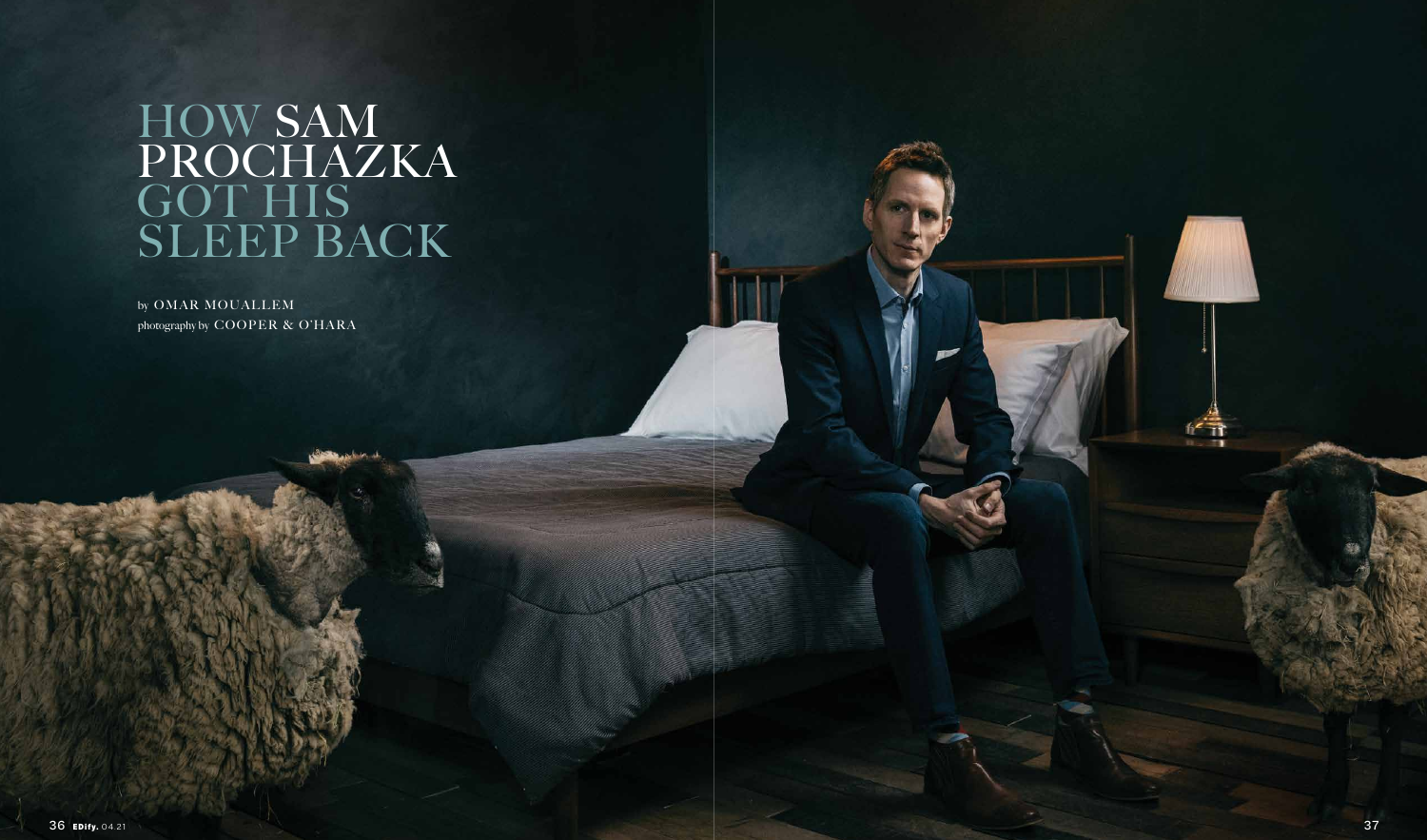## HOW SAM PROCHAZKA GOT HIS SLEEP BACK

by OMAR MOUALLEM photography by COOPER & O'HARA

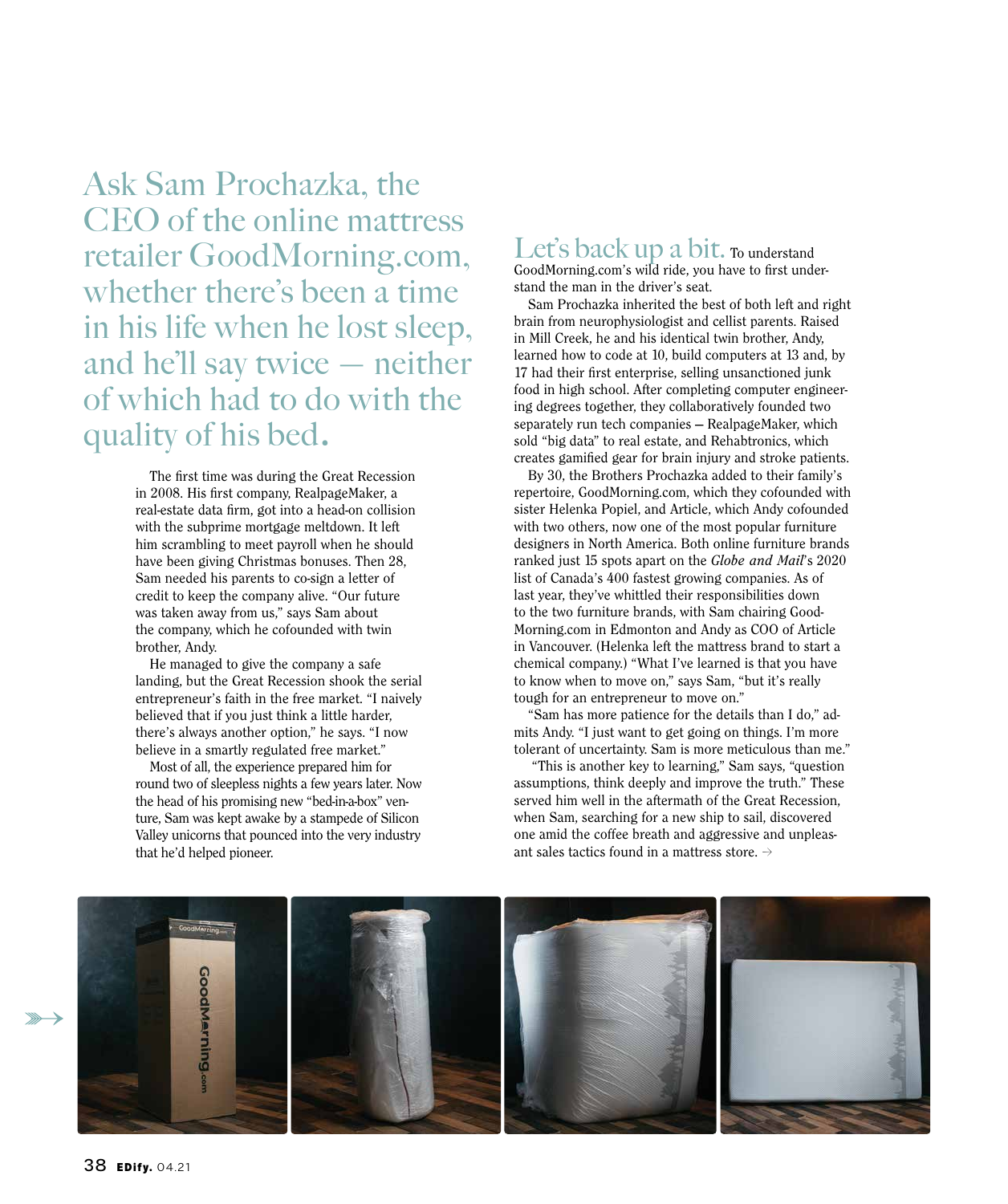Ask Sam Prochazka, the CEO of the online mattress retailer GoodMorning.com, whether there's been a time in his life when he lost sleep, and he'll say twice — neither of which had to do with the quality of his bed.

> The first time was during the Great Recession in 2008. His first company, RealpageMaker, a real-estate data firm, got into a head-on collision with the subprime mortgage meltdown. It left him scrambling to meet payroll when he should have been giving Christmas bonuses. Then 28, Sam needed his parents to co-sign a letter of credit to keep the company alive. "Our future was taken away from us," says Sam about the company, which he cofounded with twin brother, Andy.

He managed to give the company a safe landing, but the Great Recession shook the serial entrepreneur's faith in the free market. "I naively believed that if you just think a little harder, there's always another option," he says. "I now believe in a smartly regulated free market."

Most of all, the experience prepared him for round two of sleepless nights a few years later. Now the head of his promising new "bed-in-a-box" venture, Sam was kept awake by a stampede of Silicon Valley unicorns that pounced into the very industry that he'd helped pioneer.

Let's back up a bit. To understand GoodMorning.com's wild ride, you have to first understand the man in the driver's seat.

Sam Prochazka inherited the best of both left and right brain from neurophysiologist and cellist parents. Raised in Mill Creek, he and his identical twin brother, Andy, learned how to code at 10, build computers at 13 and, by 17 had their first enterprise, selling unsanctioned junk food in high school. After completing computer engineering degrees together, they collaboratively founded two separately run tech companies — RealpageMaker, which sold "big data" to real estate, and Rehabtronics, which creates gamified gear for brain injury and stroke patients.

By 30, the Brothers Prochazka added to their family's repertoire, GoodMorning.com, which they cofounded with sister Helenka Popiel, and Article, which Andy cofounded with two others, now one of the most popular furniture designers in North America. Both online furniture brands ranked just 15 spots apart on the *Globe and Mail*'s 2020 list of Canada's 400 fastest growing companies. As of last year, they've whittled their responsibilities down to the two furniture brands, with Sam chairing Good-Morning.com in Edmonton and Andy as COO of Article in Vancouver. (Helenka left the mattress brand to start a chemical company.) "What I've learned is that you have to know when to move on," says Sam, "but it's really tough for an entrepreneur to move on."

"Sam has more patience for the details than I do," admits Andy. "I just want to get going on things. I'm more tolerant of uncertainty. Sam is more meticulous than me."

 "This is another key to learning," Sam says, "question assumptions, think deeply and improve the truth." These served him well in the aftermath of the Great Recession, when Sam, searching for a new ship to sail, discovered one amid the coffee breath and aggressive and unpleasant sales tactics found in a mattress store.  $\rightarrow$ 

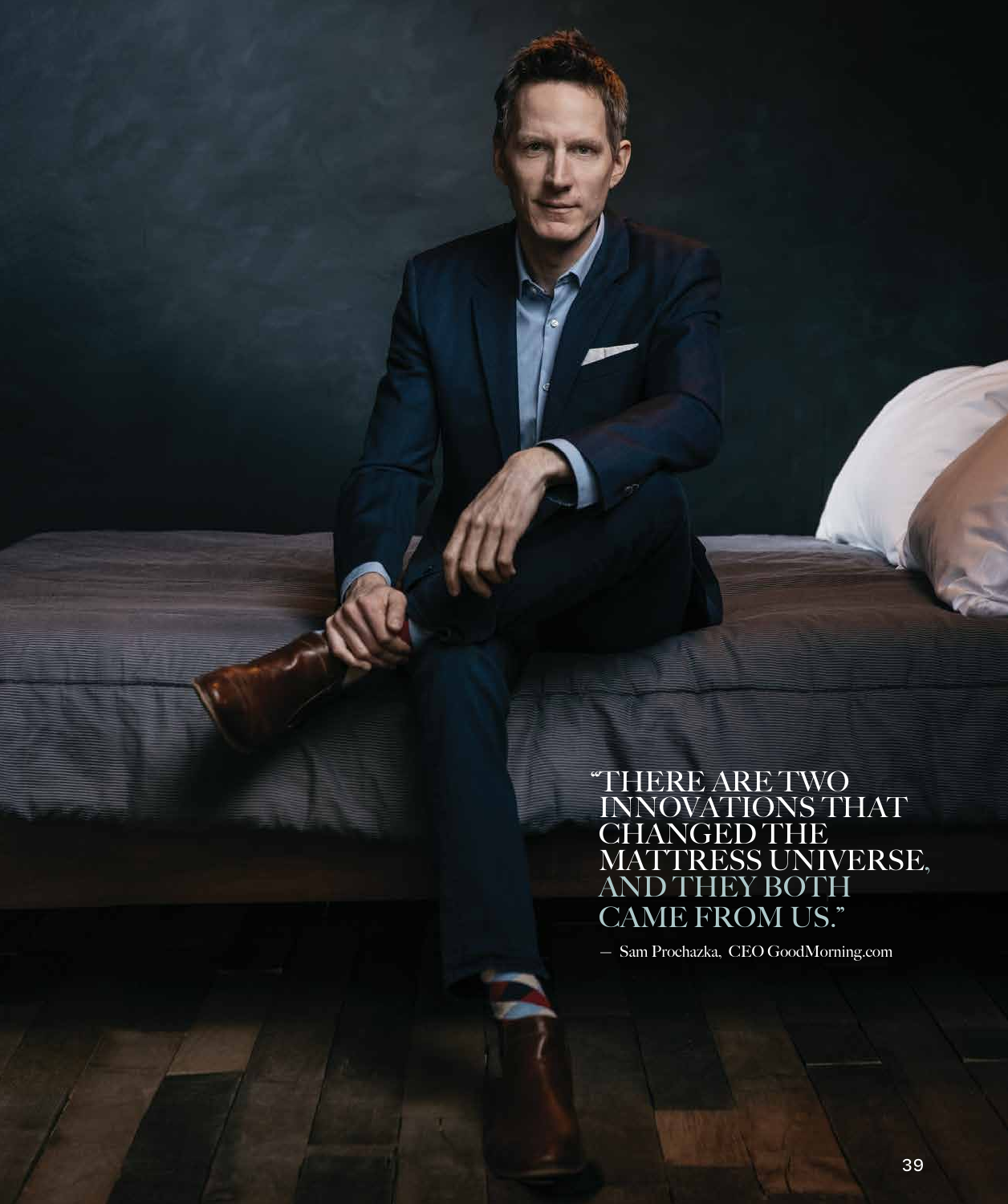"THERE ARE TWO INNOVATIONS THAT CHANGED THE MATTRESS UNIVERSE,<br>AND THEY BOTH CAME FROM US."

— Sam Prochazka, CEO GoodMorning.com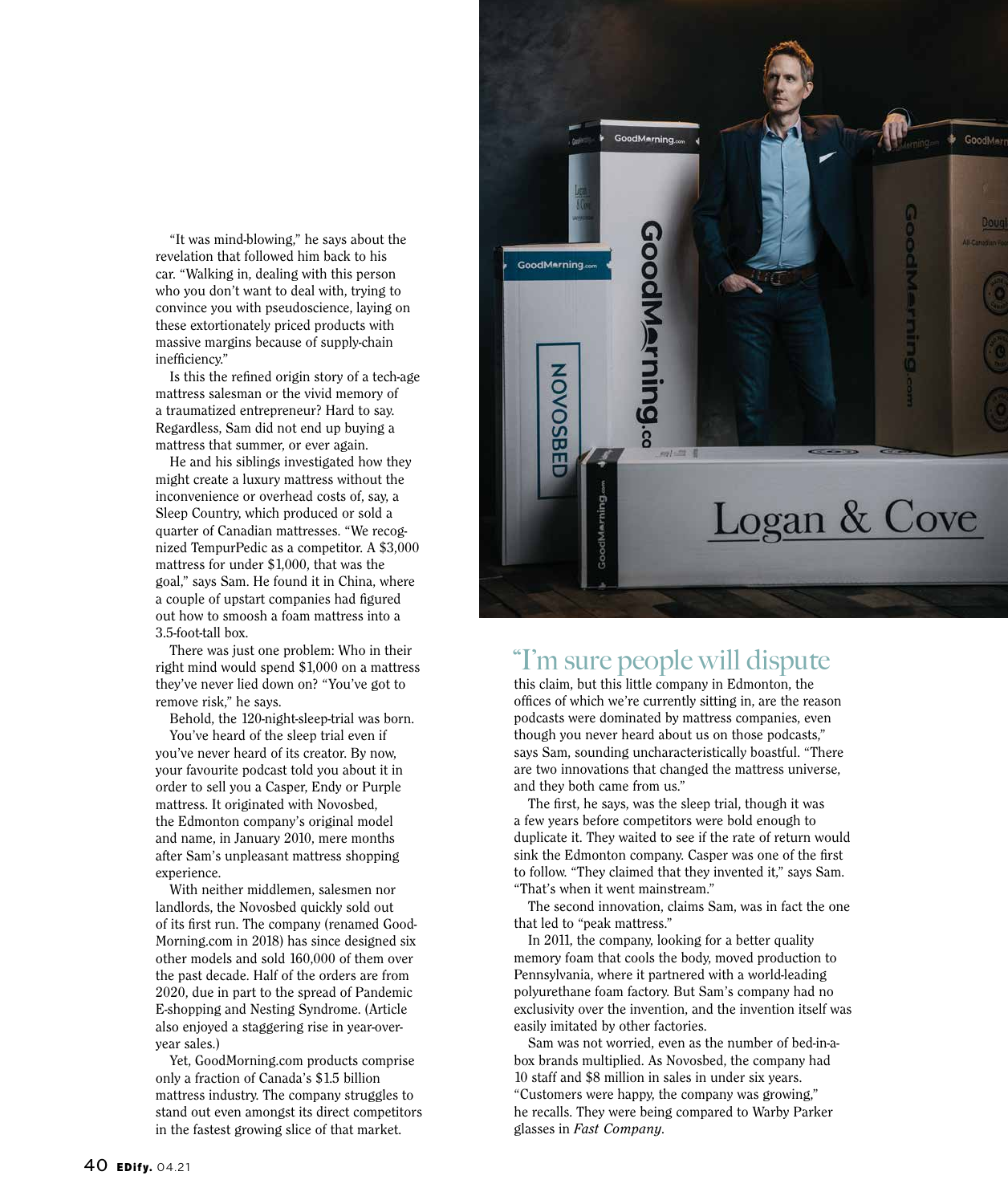"It was mind-blowing," he says about the revelation that followed him back to his car. "Walking in, dealing with this person who you don't want to deal with, trying to convince you with pseudoscience, laying on these extortionately priced products with massive margins because of supply-chain inefficiency."

Is this the refined origin story of a tech-age mattress salesman or the vivid memory of a traumatized entrepreneur? Hard to say. Regardless, Sam did not end up buying a mattress that summer, or ever again.

He and his siblings investigated how they might create a luxury mattress without the inconvenience or overhead costs of, say, a Sleep Country, which produced or sold a quarter of Canadian mattresses. "We recognized TempurPedic as a competitor. A \$3,000 mattress for under \$1,000, that was the goal," says Sam. He found it in China, where a couple of upstart companies had figured out how to smoosh a foam mattress into a 3.5-foot-tall box.

There was just one problem: Who in their right mind would spend \$1,000 on a mattress they've never lied down on? "You've got to remove risk," he says.

Behold, the 120-night-sleep-trial was born.

You've heard of the sleep trial even if you've never heard of its creator. By now, your favourite podcast told you about it in order to sell you a Casper, Endy or Purple mattress. It originated with Novosbed, the Edmonton company's original model and name, in January 2010, mere months after Sam's unpleasant mattress shopping experience.

With neither middlemen, salesmen nor landlords, the Novosbed quickly sold out of its first run. The company (renamed Good-Morning.com in 2018) has since designed six other models and sold 160,000 of them over the past decade. Half of the orders are from 2020, due in part to the spread of Pandemic E-shopping and Nesting Syndrome. (Article also enjoyed a staggering rise in year-overyear sales.)

Yet, GoodMorning.com products comprise only a fraction of Canada's \$1.5 billion mattress industry. The company struggles to stand out even amongst its direct competitors in the fastest growing slice of that market.



## "I'm sure people will dispute

this claim, but this little company in Edmonton, the offices of which we're currently sitting in, are the reason podcasts were dominated by mattress companies, even though you never heard about us on those podcasts," says Sam, sounding uncharacteristically boastful. "There are two innovations that changed the mattress universe, and they both came from us."

The first, he says, was the sleep trial, though it was a few years before competitors were bold enough to duplicate it. They waited to see if the rate of return would sink the Edmonton company. Casper was one of the first to follow. "They claimed that they invented it," says Sam. "That's when it went mainstream."

The second innovation, claims Sam, was in fact the one that led to "peak mattress."

In 2011, the company, looking for a better quality memory foam that cools the body, moved production to Pennsylvania, where it partnered with a world-leading polyurethane foam factory. But Sam's company had no exclusivity over the invention, and the invention itself was easily imitated by other factories.

Sam was not worried, even as the number of bed-in-abox brands multiplied. As Novosbed, the company had 10 staff and \$8 million in sales in under six years. "Customers were happy, the company was growing," he recalls. They were being compared to Warby Parker glasses in *Fast Company*.